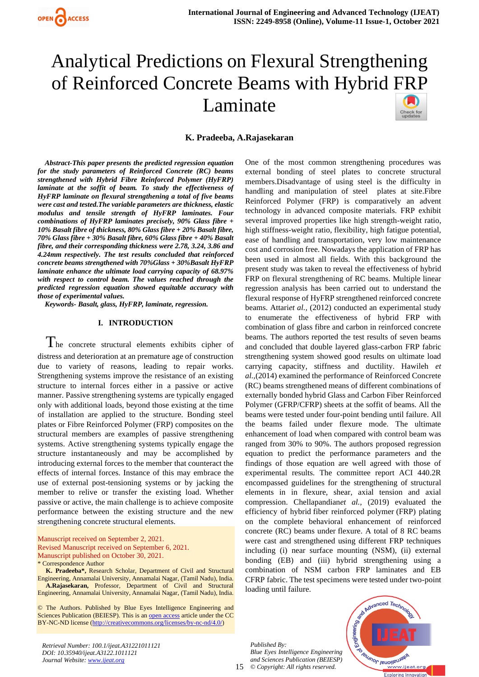

#### **K. Pradeeba, A.Rajasekaran**

*Abstract-This paper presents the predicted regression equation for the study parameters of Reinforced Concrete (RC) beams strengthened with Hybrid Fibre Reinforced Polymer (HyFRP) laminate at the soffit of beam. To study the effectiveness of HyFRP laminate on flexural strengthening a total of five beams were cast and tested.The variable parameters are thickness, elastic modulus and tensile strength of HyFRP laminates. Four combinations of HyFRP laminates precisely, 90% Glass fibre + 10% Basalt fibre of thickness, 80% Glass fibre + 20% Basalt fibre, 70% Glass fibre + 30% Basalt fibre, 60% Glass fibre + 40% Basalt fibre, and their corresponding thickness were 2.78, 3.24, 3.86 and 4.24mm respectively. The test results concluded that reinforced concrete beams strengthened with 70%Glass + 30%Basalt HyFRP laminate enhance the ultimate load carrying capacity of 68.97% with respect to control beam. The values reached through the predicted regression equation showed equitable accuracy with those of experimental values.*

*Keywords- Basalt, glass, HyFRP, laminate, regression.*

#### **I. INTRODUCTION**

 $T_{he}$  concrete structural elements exhibits cipher of distress and deterioration at an premature age of construction due to variety of reasons, leading to repair works. Strengthening systems improve the resistance of an existing structure to internal forces either in a passive or active manner. Passive strengthening systems are typically engaged only with additional loads, beyond those existing at the time of installation are applied to the structure. Bonding steel plates or Fibre Reinforced Polymer (FRP) composites on the structural members are examples of passive strengthening systems. Active strengthening systems typically engage the structure instantaneously and may be accomplished by introducing external forces to the member that counteract the effects of internal forces. Instance of this may embrace the use of external post-tensioning systems or by jacking the member to relive or transfer the existing load. Whether passive or active, the main challenge is to achieve composite performance between the existing structure and the new strengthening concrete structural elements.

Manuscript received on September 2, 2021. Revised Manuscript received on September 6, 2021. Manuscript published on October 30, 2021.

**K. Pradeeba\*,** Research Scholar, Department of Civil and Structural Engineering, Annamalai University, Annamalai Nagar, (Tamil Nadu), India. **A.Rajasekaran,** Professor, Department of Civil and Structural

Engineering, Annamalai University, Annamalai Nagar, (Tamil Nadu), India.

© The Authors. Published by Blue Eyes Intelligence Engineering and Sciences Publication (BEIESP). This is a[n open access](https://www.openaccess.nl/en/open-publications) article under the CC BY-NC-ND license [\(http://creativecommons.org/licenses/by-nc-nd/4.0/\)](http://creativecommons.org/licenses/by-nc-nd/4.0/)

*Retrieval Number: 100.1/ijeat.A31221011121 DOI: 10.35940/ijeat.A3122.1011121 Journal Website[: www.ijeat.org](http://www.ijeat.org/)* 

One of the most common strengthening procedures was external bonding of steel plates to concrete structural members.Disadvantage of using steel is the difficulty in handling and manipulation of steel plates at site.Fibre Reinforced Polymer (FRP) is comparatively an advent technology in advanced composite materials. FRP exhibit several improved properties like high strength-weight ratio, high stiffness-weight ratio, flexibility, high fatigue potential, ease of handling and transportation, very low maintenance cost and corrosion free. Nowadays the application of FRP has been used in almost all fields. With this background the present study was taken to reveal the effectiveness of hybrid FRP on flexural strengthening of RC beams. Multiple linear regression analysis has been carried out to understand the flexural response of HyFRP strengthened reinforced concrete beams. Attari*et al.,* (2012) conducted an experimental study to enumerate the effectiveness of hybrid FRP with combination of glass fibre and carbon in reinforced concrete beams. The authors reported the test results of seven beams and concluded that double layered glass-carbon FRP fabric strengthening system showed good results on ultimate load carrying capacity, stiffness and ductility. Hawileh *et al.,*(2014) examined the performance of Reinforced Concrete (RC) beams strengthened means of different combinations of externally bonded hybrid Glass and Carbon Fiber Reinforced Polymer (GFRP/CFRP) sheets at the soffit of beams. All the beams were tested under four-point bending until failure. All the beams failed under flexure mode. The ultimate enhancement of load when compared with control beam was ranged from 30% to 90%. The authors proposed regression equation to predict the performance parameters and the findings of those equation are well agreed with those of experimental results. The committee report ACI 440.2R encompassed guidelines for the strengthening of structural elements in in flexure, shear, axial tension and axial compression. Chellapandian*et al.,* (2019) evaluated the efficiency of hybrid [fiber reinforced polymer](https://www.sciencedirect.com/topics/engineering/fibre-reinforced-polymer) (FRP) plating on the complete behavioral enhancement of reinforced concrete (RC) beams under [flexure.](https://www.sciencedirect.com/topics/engineering/flexure) A total of 8 RC beams were cast and strengthened using different FRP techniques including (i) near surface mounting (NSM), (ii) external bonding (EB) and (iii) hybrid strengthening using a combination of NSM carbon FRP laminates and EB CFRP [fabric.](https://www.sciencedirect.com/topics/materials-science/textile-fiber) The test specimens were tested under two-point loading until failure.

15 *© Copyright: All rights reserved. Published By: Blue Eyes Intelligence Engineering and Sciences Publication (BEIESP)*



<sup>\*</sup> Correspondence Author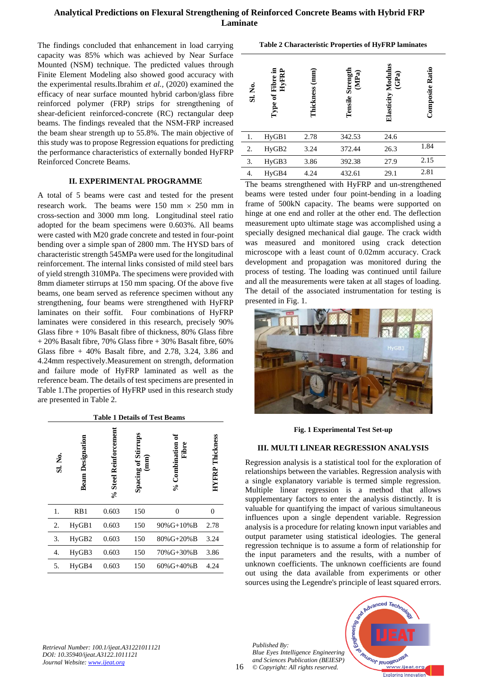The findings concluded that enhancement in load carrying capacity was 85% which was achieved by Near Surface Mounted (NSM) technique. The predicted values through Finite Element Modeling also showed good accuracy with the experimental results.Ibrahim *et al.,* (2020) examined the efficacy of near surface mounted hybrid carbon/glass fibre reinforced polymer (FRP) strips for strengthening of shear-deficient reinforced-concrete (RC) rectangular deep beams. The findings revealed that the NSM-FRP increased the beam shear strength up to 55.8%. The main objective of this study was to propose Regression equations for predicting the performance characteristics of externally bonded HyFRP Reinforced Concrete Beams.

## **II. EXPERIMENTAL PROGRAMME**

A total of 5 beams were cast and tested for the present research work. The beams were  $150 \text{ mm} \times 250 \text{ mm}$  in cross-section and 3000 mm long. Longitudinal steel ratio adopted for the beam specimens were 0.603%. All beams were casted with M20 grade concrete and tested in four-point bending over a simple span of 2800 mm. The HYSD bars of characteristic strength 545MPa were used for the longitudinal reinforcement. The internal links consisted of mild steel bars of yield strength 310MPa. The specimens were provided with 8mm diameter stirrups at 150 mm spacing. Of the above five beams, one beam served as reference specimen without any strengthening, four beams were strengthened with HyFRP laminates on their soffit. Four combinations of HyFRP laminates were considered in this research, precisely 90% Glass fibre + 10% Basalt fibre of thickness, 80% Glass fibre  $+ 20\%$  Basalt fibre, 70% Glass fibre  $+ 30\%$  Basalt fibre, 60% Glass fibre + 40% Basalt fibre, and 2.78, 3.24, 3.86 and 4.24mm respectively.Measurement on strength, deformation and failure mode of HyFRP laminated as well as the reference beam. The details of test specimens are presented in Table 1.The properties of HyFRP used in this research study are presented in Table 2.

| <b>Table 1 Details of Test Beams</b> |                         |                       |                             |                        |                        |  |
|--------------------------------------|-------------------------|-----------------------|-----------------------------|------------------------|------------------------|--|
| Sl. No.                              | <b>Beam Designation</b> | % Steel Reinforcement | Spacing of Stirrups<br>(mm) | % Combination<br>Fibre | <b>HYFRP</b> Thickness |  |
| 1.                                   | RB1                     | 0.603                 | 150                         | 0                      | $\overline{0}$         |  |
| 2.                                   | HyGB1                   | 0.603                 | 150                         | $90\%$ G+10% B         | 2.78                   |  |
| 3.                                   | HyGB2                   | 0.603                 | 150                         | $80\%$ G+20% B         | 3.24                   |  |
| 4.                                   | HyGB3                   | 0.603                 | 150                         | 70%G+30%B              | 3.86                   |  |
| 5.                                   | HyGB4                   | 0.603                 | 150                         | $60\%$ G+40% B         | 4.24                   |  |

**Table 2 Characteristic Properties of HyFRP laminates**

| Sl. No. | Type of Fibre in<br>HyFRP | Thickness (mm) | Strength<br>(MPa)<br>Tensile | Elasticity Modulus<br>$\left( \mathbf{GPa}\right)$ | Composite Ratio |
|---------|---------------------------|----------------|------------------------------|----------------------------------------------------|-----------------|
| 1.      | HyGB1                     | 2.78           | 342.53                       | 24.6                                               |                 |
| 2.      | HyGB2                     | 3.24           | 372.44                       | 26.3                                               | 1.84            |
| 3.      | HyGB3                     | 3.86           | 392.38                       | 27.9                                               | 2.15            |
| 4.      | HyGB4                     | 4.24           | 432.61                       | 29.1                                               | 2.81            |

The beams strengthened with HyFRP and un-strengthened beams were tested under four point-bending in a loading frame of 500kN capacity. The beams were supported on hinge at one end and roller at the other end. The deflection measurement upto ultimate stage was accomplished using a specially designed mechanical dial gauge. The crack width was measured and monitored using crack detection microscope with a least count of 0.02mm accuracy. Crack development and propagation was monitored during the process of testing. The loading was continued until failure and all the measurements were taken at all stages of loading. The detail of the associated instrumentation for testing is presented in Fig. 1.



**Fig. 1 Experimental Test Set-up**

# **III. MULTI LINEAR REGRESSION ANALYSIS**

Regression analysis is a statistical tool for the exploration of relationships between the variables. Regression analysis with a single explanatory variable is termed simple regression. Multiple linear regression is a method that allows supplementary factors to enter the analysis distinctly. It is valuable for quantifying the impact of various simultaneous influences upon a single dependent variable. Regression analysis is a procedure for relating known input variables and output parameter using statistical ideologies. The general regression technique is to assume a form of relationship for the input parameters and the results, with a number of unknown coefficients. The unknown coefficients are found out using the data available from experiments or other sources using the Legendre's principle of least squared errors.

*Retrieval Number: 100.1/ijeat.A31221011121 DOI: 10.35940/ijeat.A3122.1011121 Journal Website[: www.ijeat.org](http://www.ijeat.org/)* 

*Published By: Blue Eyes Intelligence Engineering and Sciences Publication (BEIESP) © Copyright: All rights reserved.*

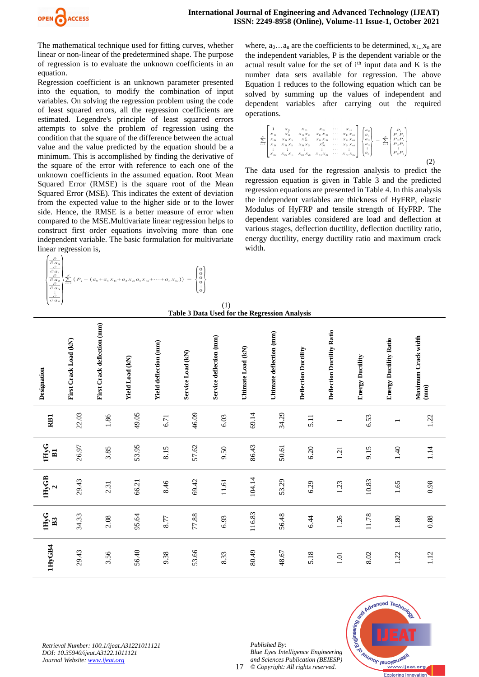

The mathematical technique used for fitting curves, whether linear or non-linear of the predetermined shape. The purpose of regression is to evaluate the unknown coefficients in an equation.

Regression coefficient is an unknown parameter presented into the equation, to modify the combination of input variables. On solving the regression problem using the code of least squared errors, all the regression coefficients are estimated. Legendre's principle of least squared errors attempts to solve the problem of regression using the condition that the square of the difference between the actual value and the value predicted by the equation should be a minimum. This is accomplished by finding the derivative of the square of the error with reference to each one of the unknown coefficients in the assumed equation. Root Mean Squared Error (RMSE) is the square root of the Mean Squared Error (MSE). This indicates the extent of deviation from the expected value to the higher side or to the lower side. Hence, the RMSE is a better measure of error when compared to the MSE.Multivariate linear regression helps to construct first order equations involving more than one independent variable. The basic formulation for multivariate linear regression is,

where,  $a_0...a_n$  are the coefficients to be determined,  $x_{1...}x_n$  are the independent variables, P is the dependent variable or the actual result value for the set of  $i<sup>th</sup>$  input data and K is the number data sets available for regression. The above Equation 1 reduces to the following equation which can be solved by summing up the values of independent and dependent variables after carrying out the required operations.

$$
\sum_{i=1}^{K} \begin{bmatrix} 1 & x_{11} & x_{21} & x_{31} & \cdots & x_{ni} \\ x_{11} & x_{11} & x_{11}x_{21} & x_{11}x_{31} & \cdots & x_{11}x_{ni} \\ x_{21} & x_{21}x_{11} & x_{22}x_{11} & x_{21}x_{31} & \cdots & x_{21}x_{ni} \\ x_{31} & x_{31}x_{11} & x_{31}x_{21} & x_{31}^2 & \cdots & x_{31}x_{ni} \\ \vdots & \vdots & \vdots & \vdots & \ddots & \vdots \\ x_{ni} & x_{ni}x_{11} & x_{ni}x_{21} & x_{ni}x_{31} & \cdots & x_{ni}x_{ni} \\ x_{ni} & x_{ni}x_{11} & x_{ni}x_{21} & x_{ni}x_{31} & \cdots & x_{ni}x_{ni} \\ x_{ni} & x_{ni}x_{11} & x_{ni}x_{21} & x_{ni}x_{31} & \cdots & x_{ni}x_{ni} \\ \end{bmatrix} \begin{bmatrix} a_0 \\ a_1 \\ a_2 \\ a_3 \\ \vdots \\ a_n \end{bmatrix} = \sum_{i=1}^{K} \begin{bmatrix} P_i \\ P_1P_i \\ P_2P_i \\ P_3P_i \\ \vdots \\ P_nP_i \end{bmatrix}
$$

The data used for the regression analysis to predict the regression equation is given in Table 3 and the predicted regression equations are presented in Table 4. In this analysis the independent variables are thickness of HyFRP, elastic Modulus of HyFRP and tensile strength of HyFRP. The dependent variables considered are load and deflection at various stages, deflection ductility, deflection ductility ratio, energy ductility, energy ductility ratio and maximum crack width.

(2)

(1) **Table 3 Data Used for the Regression Analysis**

| Designation              | First Crack Load (kN) | First Crack deflection (mm) | Yield Load (kN) | Yield deflection (mm) | Service Load (kN) | Service deflection (mm) | Ultimate Load (kN) | Ultimate deflection (mm) | <b>Deflection Ductility</b> | Deflection Ductility Ratio | <b>Energy Ductility</b> | <b>Energy Ductility Ratio</b> | Maximum Crack width<br>$\left( \min \right)$ |
|--------------------------|-----------------------|-----------------------------|-----------------|-----------------------|-------------------|-------------------------|--------------------|--------------------------|-----------------------------|----------------------------|-------------------------|-------------------------------|----------------------------------------------|
| RB1                      | 22.03                 | 1.86                        | 49.05           | 6.71                  | 46.09             | 6.03                    | 69.14              | 34.29                    | 5.11                        | $\overline{\phantom{0}}$   | 6.53                    | $\overline{\phantom{0}}$      | 1.22                                         |
| 1HyG<br>$\Xi$            | 26.97                 | 3.85                        | 53.95           | 8.15                  | 57.62             | 9.50                    | 86.43              | 50.61                    | 6.20                        | 1.21                       | 9.15                    | 1.40                          | 1.14                                         |
| 1HyGB<br>$\mathbf{\sim}$ | 29.43                 | 2.31                        | 66.21           | 8.46                  | 69.42             | $11.61$                 | 104.14             | 53.29                    | 6.29                        | 1.23                       | 10.83                   | 1.65                          | 0.98                                         |
| 1HyG<br>B3               | 34.33                 | 2.08                        | 95.64           | 8.77                  | 77.88             | 6.93                    | 116.83             | 56.48                    | 6.44                        | 1.26                       | 11.78                   | $1.80\,$                      | 0.88                                         |
| 1HyGB4                   | 29.43                 | 3.56                        | 56.40           | 9.38                  | 53.66             | 8.33                    | 80.49              | 48.67                    | 5.18                        | $1.01\,$                   | 8.02                    | 1.22                          | 1.12                                         |



*Published By: Blue Eyes Intelligence Engineering and Sciences Publication (BEIESP) © Copyright: All rights reserved.*



17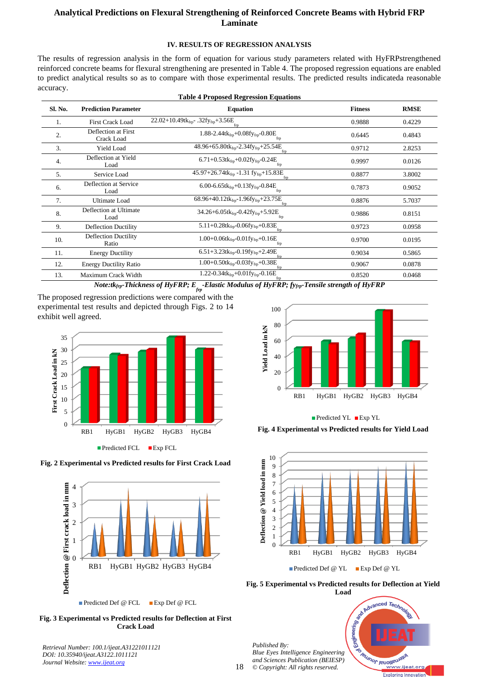## **IV. RESULTS OF REGRESSION ANALYSIS**

The results of regression analysis in the form of equation for various study parameters related with HyFRPstrengthened reinforced concrete beams for flexural strengthening are presented in Table 4. The proposed regression equations are enabled to predict analytical results so as to compare with those experimental results. The predicted results indicateda reasonable accuracy.

| <b>Table 4 Proposed Regression Equations</b> |                                                                   |                |             |  |  |  |  |  |
|----------------------------------------------|-------------------------------------------------------------------|----------------|-------------|--|--|--|--|--|
| <b>Prediction Parameter</b>                  | <b>Equation</b>                                                   | <b>Fitness</b> | <b>RMSE</b> |  |  |  |  |  |
| First Crack Load                             | 22.02+10.49tk <sub>frp</sub> - .32fy <sub>frp</sub> +3.56E<br>frp | 0.9888         | 0.4229      |  |  |  |  |  |
| Deflection at First<br>Crack Load            | 1.88-2.44t $k_{frp}$ +0.08fy <sub>frp</sub> -0.80E<br>frp         | 0.6445         | 0.4843      |  |  |  |  |  |
| Yield Load                                   | 48.96+65.80tkfrp-2.34fyfrp+25.54E                                 | 0.9712         | 2.8253      |  |  |  |  |  |
| Deflection at Yield<br>Load                  | 6.71+0.53t $k_{frp}$ +0.02fy <sub>frp</sub> -0.24E<br>frp         | 0.9997         | 0.0126      |  |  |  |  |  |
| Service Load                                 | 45.97+26.74tkfrp -1.31 fyfrp+15.83E<br>frp                        | 0.8877         | 3.8002      |  |  |  |  |  |
| Deflection at Service<br>Load                | 6.00-6.65t $k_{frp}$ +0.13fy <sub>frp</sub> -0.84E<br>frp         | 0.7873         | 0.9052      |  |  |  |  |  |
| Ultimate Load                                | 68.96+40.12tkfrp-1.96fyfrp+23.75E<br>frp                          | 0.8876         | 5.7037      |  |  |  |  |  |
| Deflection at Ultimate<br>Load               | 34.26+6.05t $k_{frp}$ -0.42fy <sub>frp</sub> +5.92E               | 0.9886         | 0.8151      |  |  |  |  |  |
| <b>Deflection Ductility</b>                  | 5.11+0.28t $k_{fpp}$ -0.06fy <sub>frp</sub> +0.83E<br>frp         | 0.9723         | 0.0958      |  |  |  |  |  |
| <b>Deflection Ductility</b><br>Ratio         | 1.00+0.06tk $_{frp}$ -0.01fy <sub>frp</sub> +0.16E<br>frp         | 0.9700         | 0.0195      |  |  |  |  |  |
| <b>Energy Ductility</b>                      | 6.51+3.23t $k_{frp}$ -0.19fy <sub>frp</sub> +2.49E                | 0.9034         | 0.5865      |  |  |  |  |  |
| <b>Energy Ductility Ratio</b>                | 1.00+0.50t $k_{frp}$ -0.03fy <sub>frp</sub> +0.38E                | 0.9067         | 0.0878      |  |  |  |  |  |
| Maximum Crack Width                          | 1.22-0.34t $k_{frp}$ +0.01fy <sub>frp</sub> -0.16E<br>frp         | 0.8520         | 0.0468      |  |  |  |  |  |
|                                              |                                                                   |                |             |  |  |  |  |  |

*Note:tkfrp-Thickness of HyFRP; E frp -Elastic Modulus of HyFRP; fyfrp-Tensile strength of HyFRP*

The proposed regression predictions were compared with the experimental test results and depicted through Figs. 2 to 14 exhibit well agreed.







**Fig. 3 Experimental vs Predicted results for Deflection at First Crack Load**



■Predicted YL ■ Exp YL

**Fig. 4 Experimental vs Predicted results for Yield Load**



**Fig. 5 Experimental vs Predicted results for Deflection at Yield Load**

*Published By: Blue Eyes Intelligence Engineering and Sciences Publication (BEIESP) © Copyright: All rights reserved.*



*Retrieval Number: 100.1/ijeat.A31221011121 DOI: 10.35940/ijeat.A3122.1011121 Journal Website[: www.ijeat.org](http://www.ijeat.org/)*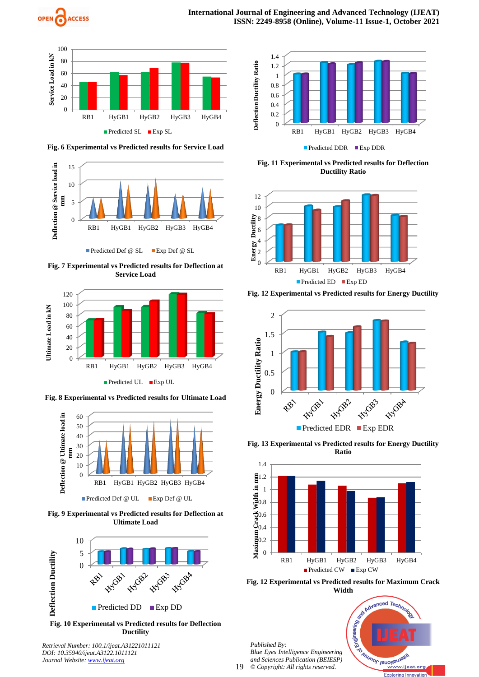



**Fig. 6 Experimental vs Predicted results for Service Load**



**Fig. 7 Experimental vs Predicted results for Deflection at Service Load**



■Predicted UL ■ Exp UL

**Fig. 8 Experimental vs Predicted results for Ultimate Load**



**Fig. 9 Experimental vs Predicted results for Deflection at Ultimate Load**



**Fig. 10 Experimental vs Predicted results for Deflection Ductility**

*Retrieval Number: 100.1/ijeat.A31221011121 DOI: 10.35940/ijeat.A3122.1011121 Journal Website[: www.ijeat.org](http://www.ijeat.org/)* 



■ Predicted DDR ■ Exp DDR

**Fig. 11 Experimental vs Predicted results for Deflection Ductility Ratio**



**Fig. 12 Experimental vs Predicted results for Energy Ductility**



**Fig. 13 Experimental vs Predicted results for Energy Ductility Ratio**



**Fig. 12 Experimental vs Predicted results for Maximum Crack** 

*Published By: Blue Eyes Intelligence Engineering and Sciences Publication (BEIESP) © Copyright: All rights reserved.*



19